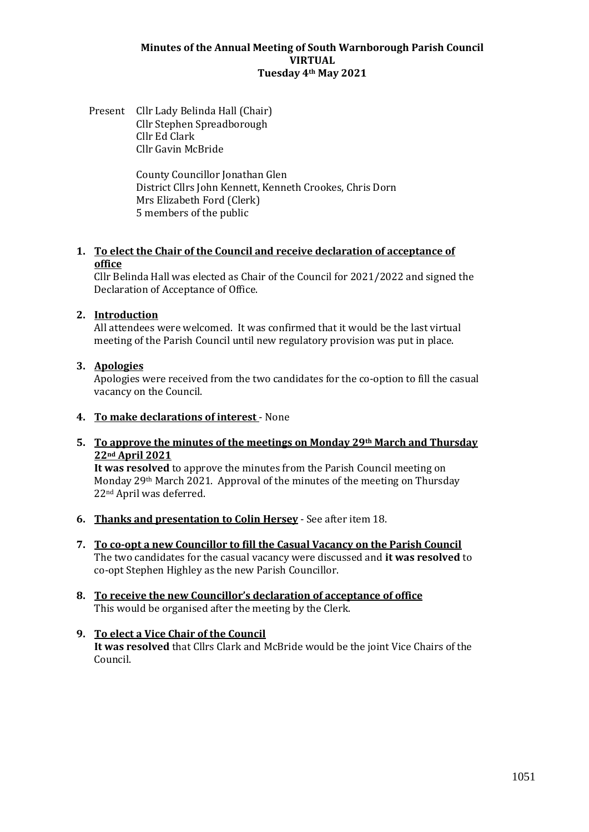#### **Minutes of the Annual Meeting of South Warnborough Parish Council VIRTUAL Tuesday 4th May 2021**

Present Cllr Lady Belinda Hall (Chair) Cllr Stephen Spreadborough Cllr Ed Clark Cllr Gavin McBride

> County Councillor Jonathan Glen District Cllrs John Kennett, Kenneth Crookes, Chris Dorn Mrs Elizabeth Ford (Clerk) 5 members of the public

### **1. To elect the Chair of the Council and receive declaration of acceptance of office**

Cllr Belinda Hall was elected as Chair of the Council for 2021/2022 and signed the Declaration of Acceptance of Office.

### **2. Introduction**

All attendees were welcomed. It was confirmed that it would be the last virtual meeting of the Parish Council until new regulatory provision was put in place.

## **3. Apologies**

Apologies were received from the two candidates for the co-option to fill the casual vacancy on the Council.

**4. To make declarations of interest** - None

### **5. To approve the minutes of the meetings on Monday 29th March and Thursday 22nd April 2021**

**It was resolved** to approve the minutes from the Parish Council meeting on Monday 29<sup>th</sup> March 2021. Approval of the minutes of the meeting on Thursday 22nd April was deferred.

- **6. Thanks and presentation to Colin Hersey** See after item 18.
- **7. To co-opt a new Councillor to fill the Casual Vacancy on the Parish Council** The two candidates for the casual vacancy were discussed and **it was resolved** to co-opt Stephen Highley as the new Parish Councillor.
- **8. To receive the new Councillor's declaration of acceptance of office** This would be organised after the meeting by the Clerk.
- **9. To elect a Vice Chair of the Council It was resolved** that Cllrs Clark and McBride would be the joint Vice Chairs of the Council.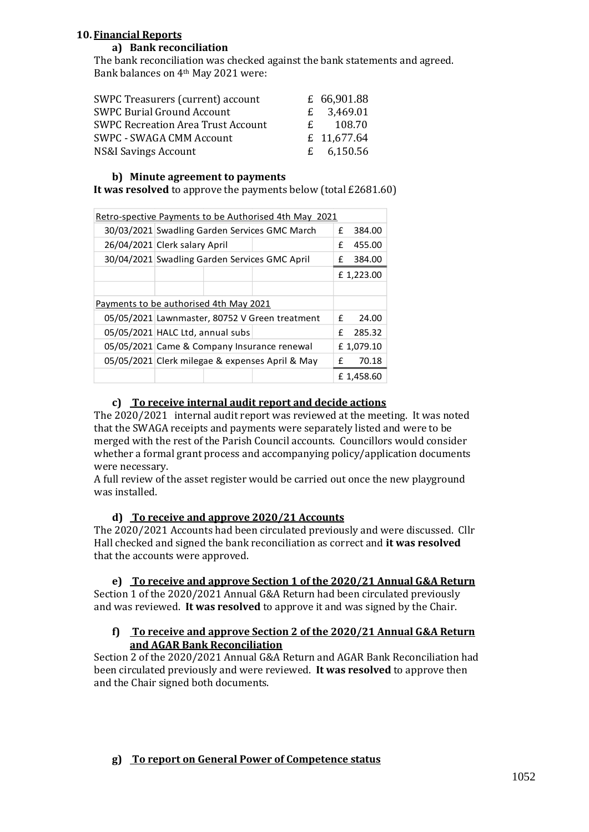# **10. Financial Reports**

## **a) Bank reconciliation**

The bank reconciliation was checked against the bank statements and agreed. Bank balances on 4th May 2021 were:

| SWPC Treasurers (current) account         |   | £ 66,901.88  |
|-------------------------------------------|---|--------------|
| <b>SWPC Burial Ground Account</b>         |   | £ $3,469.01$ |
| <b>SWPC Recreation Area Trust Account</b> | £ | 108.70       |
| SWPC - SWAGA CMM Account                  |   | £ 11,677.64  |
| NS&I Savings Account                      |   | £ $6,150.56$ |

### **b) Minute agreement to payments**

**It was resolved** to approve the payments below (total £2681.60)

| Retro-spective Payments to be Authorised 4th May 2021 |                                                 |  |           |            |  |
|-------------------------------------------------------|-------------------------------------------------|--|-----------|------------|--|
|                                                       | 30/03/2021 Swadling Garden Services GMC March   |  |           | 384.00     |  |
|                                                       | 26/04/2021 Clerk salary April                   |  | f         | 455.00     |  |
|                                                       | 30/04/2021 Swadling Garden Services GMC April   |  |           | 384.00     |  |
|                                                       |                                                 |  |           | £1,223.00  |  |
|                                                       |                                                 |  |           |            |  |
| Payments to be authorised 4th May 2021                |                                                 |  |           |            |  |
|                                                       | 05/05/2021 Lawnmaster, 80752 V Green treatment  |  |           | f<br>24.00 |  |
|                                                       | 05/05/2021 HALC Ltd, annual subs                |  | f         | 285.32     |  |
|                                                       | 05/05/2021 Came & Company Insurance renewal     |  | £1,079.10 |            |  |
|                                                       | 05/05/2021 Clerk milegae & expenses April & May |  | f         | 70.18      |  |
|                                                       |                                                 |  |           | £1,458.60  |  |

# **c) To receive internal audit report and decide actions**

The 2020/2021 internal audit report was reviewed at the meeting. It was noted that the SWAGA receipts and payments were separately listed and were to be merged with the rest of the Parish Council accounts. Councillors would consider whether a formal grant process and accompanying policy/application documents were necessary.

A full review of the asset register would be carried out once the new playground was installed.

# **d) To receive and approve 2020/21 Accounts**

The 2020/2021 Accounts had been circulated previously and were discussed. Cllr Hall checked and signed the bank reconciliation as correct and **it was resolved** that the accounts were approved.

**e) To receive and approve Section 1 of the 2020/21 Annual G&A Return**

Section 1 of the 2020/2021 Annual G&A Return had been circulated previously and was reviewed. **It was resolved** to approve it and was signed by the Chair.

### **f) To receive and approve Section 2 of the 2020/21 Annual G&A Return and AGAR Bank Reconciliation**

Section 2 of the 2020/2021 Annual G&A Return and AGAR Bank Reconciliation had been circulated previously and were reviewed. **It was resolved** to approve then and the Chair signed both documents.

# **g) To report on General Power of Competence status**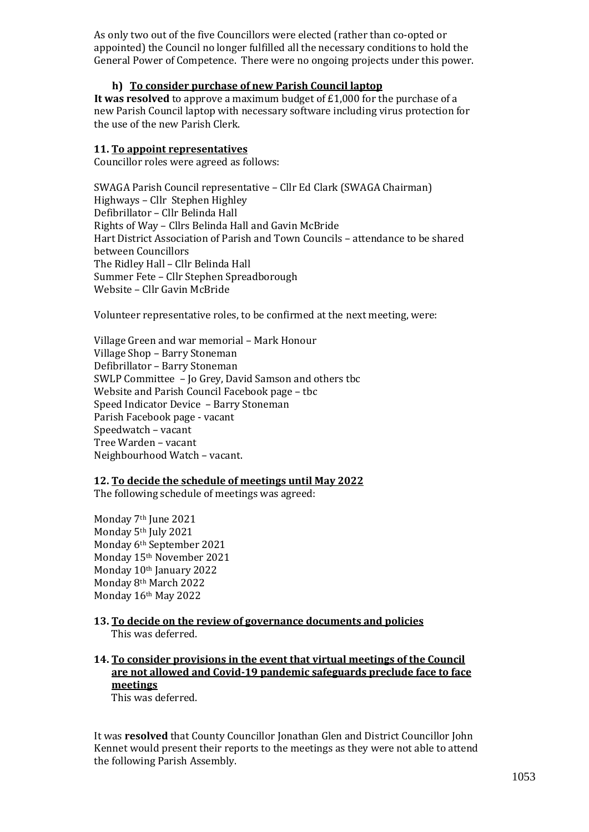As only two out of the five Councillors were elected (rather than co-opted or appointed) the Council no longer fulfilled all the necessary conditions to hold the General Power of Competence. There were no ongoing projects under this power.

### **h) To consider purchase of new Parish Council laptop**

**It was resolved** to approve a maximum budget of £1,000 for the purchase of a new Parish Council laptop with necessary software including virus protection for the use of the new Parish Clerk.

## **11. To appoint representatives**

Councillor roles were agreed as follows:

SWAGA Parish Council representative – Cllr Ed Clark (SWAGA Chairman) Highways – Cllr Stephen Highley Defibrillator – Cllr Belinda Hall Rights of Way – Cllrs Belinda Hall and Gavin McBride Hart District Association of Parish and Town Councils – attendance to be shared between Councillors The Ridley Hall – Cllr Belinda Hall Summer Fete – Cllr Stephen Spreadborough Website – Cllr Gavin McBride

Volunteer representative roles, to be confirmed at the next meeting, were:

Village Green and war memorial – Mark Honour Village Shop – Barry Stoneman Defibrillator – Barry Stoneman SWLP Committee – Jo Grey, David Samson and others tbc Website and Parish Council Facebook page – tbc Speed Indicator Device – Barry Stoneman Parish Facebook page - vacant Speedwatch – vacant Tree Warden – vacant Neighbourhood Watch – vacant.

### **12. To decide the schedule of meetings until May 2022**

The following schedule of meetings was agreed:

Monday 7th June 2021 Monday 5th July 2021 Monday 6th September 2021 Monday 15th November 2021 Monday 10th January 2022 Monday 8th March 2022 Monday 16th May 2022

### **13. To decide on the review of governance documents and policies** This was deferred.

# **14. To consider provisions in the event that virtual meetings of the Council are not allowed and Covid-19 pandemic safeguards preclude face to face meetings**

This was deferred.

It was **resolved** that County Councillor Jonathan Glen and District Councillor John Kennet would present their reports to the meetings as they were not able to attend the following Parish Assembly.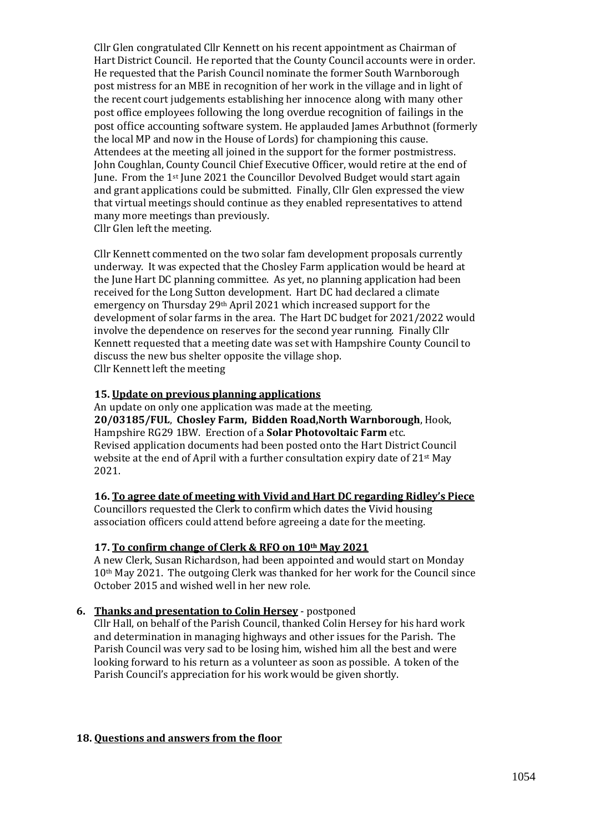Cllr Glen congratulated Cllr Kennett on his recent appointment as Chairman of Hart District Council. He reported that the County Council accounts were in order. He requested that the Parish Council nominate the former South Warnborough post mistress for an MBE in recognition of her work in the village and in light of the recent court judgements establishing her innocence along with many other post office employees following the long overdue recognition of failings in the post office accounting software system. He applauded James Arbuthnot (formerly the local MP and now in the House of Lords) for championing this cause. Attendees at the meeting all joined in the support for the former postmistress. John Coughlan, County Council Chief Executive Officer, would retire at the end of June. From the 1st June 2021 the Councillor Devolved Budget would start again and grant applications could be submitted. Finally, Cllr Glen expressed the view that virtual meetings should continue as they enabled representatives to attend many more meetings than previously. Cllr Glen left the meeting.

Cllr Kennett commented on the two solar fam development proposals currently underway. It was expected that the Chosley Farm application would be heard at the June Hart DC planning committee. As yet, no planning application had been received for the Long Sutton development. Hart DC had declared a climate emergency on Thursday 29th April 2021 which increased support for the development of solar farms in the area. The Hart DC budget for 2021/2022 would involve the dependence on reserves for the second year running. Finally Cllr Kennett requested that a meeting date was set with Hampshire County Council to discuss the new bus shelter opposite the village shop. Cllr Kennett left the meeting

### **15. Update on previous planning applications**

An update on only one application was made at the meeting. **20/03185/FUL**, **Chosley Farm, Bidden Road,North Warnborough**, Hook, Hampshire RG29 1BW. Erection of a **Solar Photovoltaic Farm** etc. Revised application documents had been posted onto the Hart District Council website at the end of April with a further consultation expiry date of 21st May 2021.

#### **16. To agree date of meeting with Vivid and Hart DC regarding Ridley's Piece**

Councillors requested the Clerk to confirm which dates the Vivid housing association officers could attend before agreeing a date for the meeting.

#### **17. To confirm change of Clerk & RFO on 10th May 2021**

A new Clerk, Susan Richardson, had been appointed and would start on Monday 10th May 2021. The outgoing Clerk was thanked for her work for the Council since October 2015 and wished well in her new role.

### **6. Thanks and presentation to Colin Hersey** - postponed

Cllr Hall, on behalf of the Parish Council, thanked Colin Hersey for his hard work and determination in managing highways and other issues for the Parish. The Parish Council was very sad to be losing him, wished him all the best and were looking forward to his return as a volunteer as soon as possible. A token of the Parish Council's appreciation for his work would be given shortly.

### **18. Questions and answers from the floor**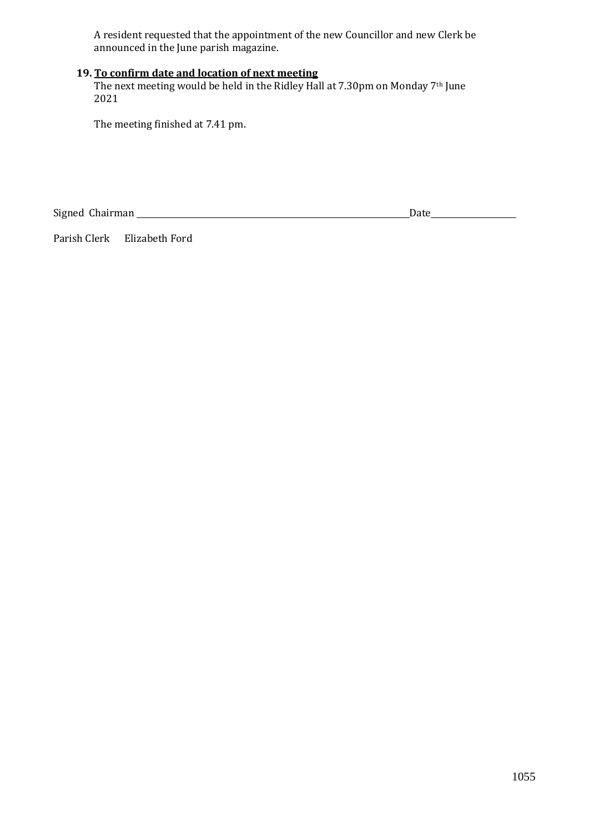A resident requested that the appointment of the new Councillor and new Clerk be announced in the June parish magazine.

# **19. To confirm date and location of next meeting**

The next meeting would be held in the Ridley Hall at 7.30pm on Monday 7<sup>th</sup> June 2021

The meeting finished at 7.41 pm.

Signed Chairman Date

Parish Clerk Elizabeth Ford